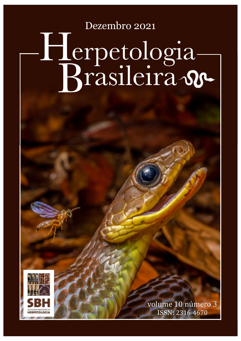Dezembro 2021

## Brasileira Herpetologia



volume 10 número 3 ISSN: 2316-4670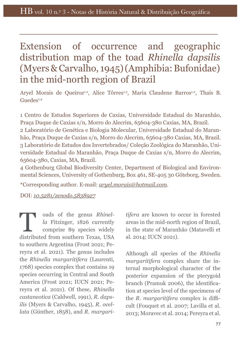## Extension of occurrence and geographic distribution map of the toad *Rhinella dapsilis* (Myers & Carvalho, 1945) (Amphibia: Bufonidae) in the mid-north region of Brazil

Aryel Morais de Queiroz<sup>1,2</sup>, Alice Tôrres<sup>1,3</sup>, Maria Claudene Barros<sup>1,2</sup>, Thaís B. Guedes<sup>1,4</sup>

1 Centro de Estudos Superiores de Caxias, Universidade Estadual do Maranhão, Praça Duque de Caxias s/n, Morro do Alecrim, 65604-380 Caxias, MA, Brazil. 2 Laboratório de Genética e Biologia Molecular, Universidade Estadual do Maranhão, Praça Duque de Caxias s/n, Morro do Alecrim, 65604-380 Caxias, MA, Brazil. 3 Laboratório de Estudos dos Invertebrados/ Coleção Zoológica do Maranhão, Universidade Estadual do Maranhão, Praça Duque de Caxias s/n, Morro do Alecrim, 65604-380, Caxias, MA, Brazil.

4 Gothenburg Global Biodiversity Center, Department of Biological and Environmental Sciences, University of Gothenburg, Box 461, SE-405 30 Göteborg, Sweden.

\*Corresponding author. E-mail: *aryel.morais@hotmail.com*.

DOI: *10.5281/zenodo.5838927*

ads of the genus *Rhinel-*<br>
la Fitzinger, 1826 currently<br>
comprise 89 species widely *la* Fitzinger, 1826 currently comprise 89 species widely distributed from southern Texas, USA to southern Argentina (Frost 2021; Pereyra et al. 2021). The genus includes the *Rhinella margaritifera* (Laurenti, 1768) species complex that contains 19 species occurring in Central and South America (Frost 2021; IUCN 2021; Pereyra et al. 2021). Of these, *Rhinella castaneotica* (Caldwell, 1991), *R. dapsilis* (Myers & Carvalho, 1945), *R. ocellata* (Günther, 1858), and *R. margari-*

*tifera* are known to occur in forested areas in the mid-north region of Brazil, in the state of Maranhão (Matavelli et al. 2014; IUCN 2021).

Although all species of the *Rhinella margaritifera* complex share the internal morphological character of the posterior expansion of the pterygoid branch (Pramuk 2006), the identifcation at species level of the specimens of the *R. margaritifera* complex is difficult (Fouquet et al. 2007; Lavilla et al. 2013; Moravec et al. 2014; Pereyra et al.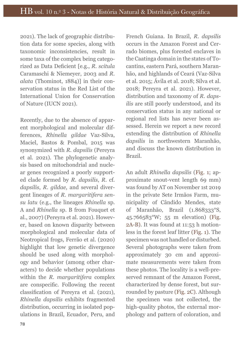2021). The lack of geographic distribution data for some species, along with taxonomic inconsistencies, result in some taxa of the complex being categorized as Data Defcient [e.g., *R. scitula* Caramaschi & Niemeyer, 2003 and *R. alata* (Thominot, 1884)] in their conservation status in the Red List of the International Union for Conservation of Nature (IUCN 2021).

Recently, due to the absence of apparent morphological and molecular differences, *Rhinella gildae* Vaz-Silva, Maciel, Bastos & Pombal, 2015 was synonymized with *R. dapsilis* (Pereyra et al. 2021). The phylogenetic analysis based on mitochondrial and nuclear genes recognized a poorly supported clade formed by *R. dapsilis*, *R*. cf. *dapsilis*, *R. gildae*, and several divergent lineages of *R. margaritifera sensu latu* (e.g., the lineages *Rhinella* sp. A and *Rhinella* sp. B from Fouquet et al., 2007) (Pereyra et al. 2021). However, based on known disparity between morphological and molecular data of Neotropical frogs, Ferrão et al. (2020) highlight that low genetic divergence should be used along with morphology and behavior (among other characters) to decide whether populations within the *R. margaritifera* complex are conspecifc. Following the recent classifcation of Pereyra et al. (2021), *Rhinella dapsilis* exhibits fragmented distribution, occurring in isolated populations in Brazil, Ecuador, Peru, and French Guiana. In Brazil, *R. dapsilis* occurs in the Amazon Forest and Cerrado biomes, plus forested enclaves in the Caatinga domain in the states of Tocantins, eastern Pará, southern Maranhão, and highlands of Ceará (Vaz-Silva et al. 2015; Ávila et al. 2018; Silva et al. 2018; Pereyra et al. 2021). However, distribution and taxonomy of *R. dapsilis* are still poorly understood, and its conservation status in any national or regional red lists has never been assessed. Herein we report a new record extending the distribution of *Rhinella dapsilis* in northwestern Maranhão, and discuss the known distribution in Brazil.

An adult *Rhinella dapsilis* (Fig. 1; approximate snout-vent length 69 mm) was found by AT on November 1st 2019 in the private Sete Irmãos Farm, municipality of Cândido Mendes, state of Maranhão, Brazil (1.868333°S, 45.766583°W; 55 m elevation) (Fig. 2A-B). It was found at 11:53 h motionless in the forest leaf litter (Fig. 1). The specimen was not handled or disturbed. Several photographs were taken from approximately 30 cm and approximate measurements were taken from these photos. The locality is a well-preserved remnant of the Amazon Forest, characterized by dense forest, but surrounded by pasture (Fig. 2C). Although the specimen was not collected, the high-quality photos, the external morphology and pattern of coloration, and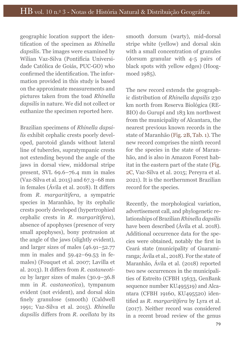geographic location support the identifcation of the specimen as *Rhinella dapsilis*. The images were examined by Wilian Vaz-Silva (Pontifícia Universidade Católica de Goiás, PUC-GO) who confrmed the identifcation. The information provided in this study is based on the approximate measurements and pictures taken from the toad *Rhinella dapsilis* in nature. We did not collect or euthanize the specimen reported here.

Brazilian specimens of *Rhinella dapsilis* exhibit cephalic crests poorly developed, parotoid glands without lateral line of tubercles, supratympanic crests not extending beyond the angle of the jaws in dorsal view, middorsal stripe present, SVL 69.6–76.4 mm in males (Vaz-Silva et al. 2015) and 67.3–68 mm in females (Ávila et al. 2018). It difers from *R. margaritifera*, a sympatric species in Maranhão, by its cephalic crests poorly developed (hypertrophied cephalic crests in *R. margaritifera*), absence of apophyses (presence of very small apophyses), bony protrusion at the angle of the jaws (slightly evident), and larger sizes of males (46.91–52.77 mm in males and 59.42–69.53 in females) (Fouquet et al. 2007; Lavilla et al. 2013). It difers from *R. castaneotica* by larger sizes of males (30.9–36.8 mm in *R. castaneotica*), tympanum evident (not evident), and dorsal skin fnely granulose (smooth) (Caldwell 1991; Vaz-Silva et al. 2015). *Rhinella dapsilis* difers from *R. ocellata* by its smooth dorsum (warty), mid-dorsal stripe white (yellow) and dorsal skin with a small concentration of granules (dorsum granular with 4-5 pairs of black spots with yellow edges) (Hoogmoed 1985).

The new record extends the geographic distribution of *Rhinella dapsilis* 230 km north from Reserva Biológica (RE-BIO) do Gurupí and 183 km northwest from the municipality of Alcantara, the nearest previous known records in the state of Maranhão (Fig. 2B, Tab. 1). The new record comprises the ninth record for the species in the state of Maranhão, and is also in Amazon Forest habitat in the eastern part of the state (Fig. 2C, Vaz-Silva et al. 2015; Pereyra et al. 2021). It is the northernmost Brazilian record for the species.

Recently, the morphological variation, advertisement call, and phylogenetic relationships of Brazilian *Rhinella dapsilis* have been described (Ávila et al. 2018). Additional occurrence data for the species were obtained, notably the frst in Ceará state (municipality of Guaramiranga; Ávila et al., 2018). For the state of Maranhão, Ávila et al. (2018) reported two new occurrences in the municipalities of Estreito (CFBH 15633, GenBank sequence number KU495519) and Alcantara (CFBH 19160, KU495520) identifed as *R. margaritifera* by Lyra et al. (2017). Neither record was considered in a recent broad review of the genus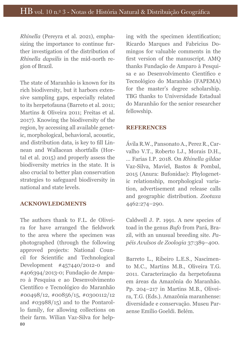*Rhinella* (Pereyra et al. 2021), emphasizing the importance to continue further investigation of the distribution of *Rhinella dapsilis* in the mid-north region of Brazil.

The state of Maranhão is known for its rich biodiversity, but it harbors extensive sampling gaps, especially related to its herpetofauna (Barreto et al. 2011; Martins & Oliveira 2011; Freitas et al. 2017). Knowing the biodiversity of the region, by accessing all available genetic, morphological, behavioral, acoustic, and distribution data, is key to fll Linnean and Wallacean shortfalls (Hortal et al. 2015) and properly assess the biodiversity metrics in the state. It is also crucial to better plan conservation strategies to safeguard biodiversity in national and state levels.

## **ACKNOWLEDGMENTS**

80 The authors thank to F.L. de Oliveira for have arranged the feldwork to the area where the specimen was photographed (through the following approved projects: National Council for Scientifc and Technological Development #457440/2012-0 and #406394/2013-0; Fundação de Amparo à Pesquisa e ao Desenvolvimento Científco e Tecnológico do Maranhão #00498/12, #00856/15, #0300112/12 and #03988/15) and to the Pontarollo family, for allowing collections on their farm. Wilian Vaz-Silva for helping with the specimen identifcation; Ricardo Marques and Fabricius Domingos for valuable comments in the frst version of the manuscript. AMQ thanks Fundação de Amparo à Pesquisa e ao Desenvolvimento Científico e Tecnológico do Maranhão (FAPEMA) for the master's degree scholarship. TBG thanks to Universidade Estadual do Maranhão for the senior researcher fellowship.

## **REFERENCES**

Ávila R.W., Pansonato A., Perez R., Carvalho V.T., Roberto I.J., Morais D.H., … Farias I.P. 2018. On *Rhinella gildae* Vaz-Silva, Maviel, Bastos & Pombal, 2015 (Anura: Bufonidae): Phylogenetic relationship, morphological variation, advertisement and release calls and geographic distribution. *Zootaxa* 4462:274–290.

Caldwell J. P. 1991. A new species of toad in the genus *Bufo* from Pará, Brazil, with an unusual breeding site. *Papéis Avulsos de Zoologia* 37:389–400.

Barreto L., Ribeiro L.E.S., Nascimento M.C., Martins M.B., Oliveira T.G. 2011. Caracterização da herpetofauna em áreas da Amazônia do Maranhão. Pp. 204–217 in Martins M.B., Oliveira, T.G. (Eds.). Amazônia maranhense: diversidade e conservação. Museu Paraense Emílio Goeldi. Belém.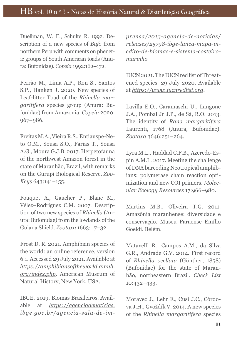Duellman, W. E., Schulte R. 1992. Description of a new species of *Bufo* from northern Peru with comments on phenetic groups of South American toads (Anura: Bufonidae). *Copeia* 1992:162–172.

Ferrão M., Lima A.P., Ron S., Santos S.P., Hanken J. 2020. New species of Leaf-litter Toad of the *Rhinella margaritifera* species group (Anura: Bufonidae) from Amazonia. *Copeia* 2020: 967–986.

Freitas M.A., Vieira R.S., Entiauspe-Neto O.M., Sousa S.O., Farias T., Sousa A.G., Moura G.J.B. 2017. Herpetofauna of the northwest Amazon forest in the state of Maranhão, Brazil, with remarks on the Gurupi Biological Reserve. *Zoo-Keys* 643:141–155.

Fouquet A., Gaucher P., Blanc M., Vélez–Rodriguez C.M. 2007. Description of two new species of *Rhinella* (Anura: Bufonidae) from the lowlands of the Guiana Shield. *Zootaxa* 1663: 17–32.

Frost D. R. 2021. Amphibian species of the world: an online reference, version 6.1. Accessed 29 July 2021. Available at *https://amphibiansoftheworld.amnh. org/index.php*. American Museum of Natural History, New York, USA.

IBGE. 2019. Biomas Brasileiros. Available at *https://agenciadenoticias. ibge.gov.br/agencia-sala-de-im-* *prensa/2013-agencia-de-noticias/ releases/25798-ibge-lanca-mapa-inedito-de-biomas-e-sistema-costeiromarinho*

IUCN 2021. The IUCN red list of Threatened species. 29 July 2020. Available at *https://www.iucnredlist.org*.

Lavilla E.O., Caramaschi U., Langone J.A., Pombal Jr J.P., de Sá, R.O. 2013. The identity of *Rana margaritifera* Laurenti, 1768 (Anura, Bufonidae). *Zootaxa* 3646:251–264.

Lyra M.L., Haddad C.F.B., Azeredo-Espin A.M.L. 2017. Meeting the challenge of DNA barcoding Neotropical amphibians: polymerase chain reaction optimization and new COI primers. *Molecular Ecology Resources* 17:966–980.

Martins M.B., Oliveira T.G. 2011. Amazônia maranhense: diversidade e conservação. Museu Paraense Emílio Goeldi. Belém.

Matavelli R., Campos A.M., da Silva G.R., Andrade G.V. 2014. First record of *Rhinella ocellata* (Günther, 1858) (Bufonidae) for the state of Maranhão, northeastern Brazil. *Check List* 10:432–433.

Moravec J., Lehr E., Cusi J.C., Córdova J.H., Gvoždík V. 2014. A new species of the *Rhinella margaritifera* species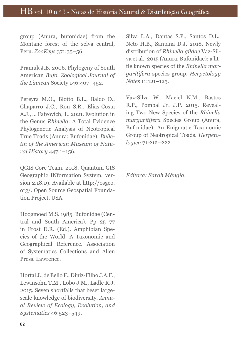group (Anura, bufonidae) from the Montane forest of the selva central, Peru. *ZooKeys* 371:35–56.

Pramuk J.B. 2006. Phylogeny of South American *Bufo. Zoological Journal of the Linnean* Society 146:407–452.

Pereyra M.O., Blotto B.L., Baldo D., Chaparro J.C., Ron S.R., Elias-Costa A.J., … Faivovich, J.. 2021. Evolution in the Genus *Rhinella*: A Total Evidence Phylogenetic Analysis of Neotropical True Toads (Anura: Bufonidae). *Bulletin of the American Museum of Natural History* 447:1–156.

QGIS Core Team. 2018. Quantum GIS Geographic INformation System, version 2.18.19. Available at http://osgeo. org/. Open Source Geospatial Foundation Project, USA.

Hoogmoed M.S. 1985. Bufonidae (Central and South America). Pp 25–77 in Frost D.R. (Ed.). Amphibian Species of the World: A Taxonomic and Geographical Reference. Association of Systematics Collections and Allen Press. Lawrence.

Hortal J., de Bello F., Diniz-Filho J.A.F., Lewinsohn T.M., Lobo J.M., Ladle R.J. 2015. Seven shortfalls that beset largescale knowledge of biodiversity. *Annual Review of Ecology, Evolution, and Systematics* 46:523–549.

Silva L.A., Dantas S.P., Santos D.L., Neto H.B., Santana D.J. 2018. Newly distribution of *Rhinella gildae* Vaz-Silva et al., 2015 (Anura, Bufonidae): a little known species of the *Rhinella margaritifera* species group. *Herpetology Notes* 11:121–125.

Vaz-Silva W., Maciel N.M., Bastos R.P., Pombal Jr. J.P. 2015. Revealing Two New Species of the *Rhinella margaritifera* Species Group (Anura, Bufonidae): An Enigmatic Taxonomic Group of Neotropical Toads. *Herpetologica* 71:212–222.

*Editora: Sarah Mângia.*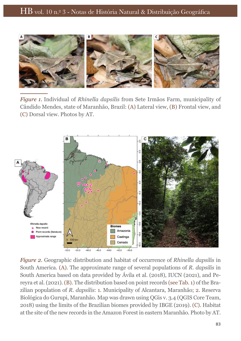

*Figure 1.* Individual of *Rhinella dapsilis* from Sete Irmãos Farm, municipality of Cândido Mendes, state of Maranhão, Brazil: (A) Lateral view, (B) Frontal view, and (C) Dorsal view. Photos by AT.



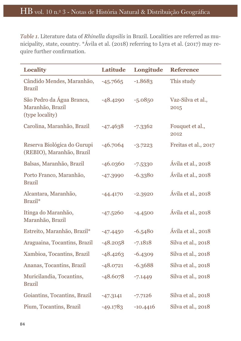*Table 1.* Literature data of *Rhinella dapsilis* in Brazil. Localities are referred as municipality, state, country. \*Ávila et al. (2018) referring to Lyra et al. (2017) may require further confrmation.

| <b>Locality</b>                                                  | <b>Latitude</b> | Longitude  | <b>Reference</b>          |
|------------------------------------------------------------------|-----------------|------------|---------------------------|
| Cândido Mendes, Maranhão,<br><b>Brazil</b>                       | $-45.7665$      | $-1.8683$  | This study                |
| São Pedro da Água Branca,<br>Maranhão, Brazil<br>(type locality) | $-48.4290$      | $-5.0850$  | Vaz-Silva et al.,<br>2015 |
| Carolina, Maranhão, Brazil                                       | $-47.4638$      | $-7.3362$  | Fouquet et al.,<br>2012   |
| Reserva Biológica do Gurupi<br>(REBIO), Maranhão, Brazil         | $-46.7064$      | $-3.7223$  | Freitas et al., 2017      |
| Balsas, Maranhão, Brazil                                         | $-46.0360$      | $-7.5330$  | Ávila et al., 2018        |
| Porto Franco, Maranhão,<br><b>Brazil</b>                         | $-47.3990$      | $-6.3380$  | Ávila et al., 2018        |
| Alcantara, Maranhão,<br>Brazil <sup>*</sup>                      | $-44.4170$      | $-2.3920$  | Ávila et al., 2018        |
| Itinga do Maranhão,<br>Maranhão, Brazil                          | $-47.5260$      | $-4.4500$  | Ávila et al., 2018        |
| Estreito, Maranhão, Brazil*                                      | $-47.4450$      | $-6.5480$  | Ávila et al., 2018        |
| Araguaina, Tocantins, Brazil                                     | $-48.2058$      | $-7.1818$  | Silva et al., 2018        |
| Xambioa, Tocantins, Brazil                                       | $-48.4263$      | $-6.4309$  | Silva et al., 2018        |
| Ananas, Tocantins, Brazil                                        | $-48.0721$      | $-6.3688$  | Silva et al., 2018        |
| Muricilandia, Tocantins,<br><b>Brazil</b>                        | $-48.6078$      | $-7.1449$  | Silva et al., 2018        |
| Goiantins, Tocantins, Brazil                                     | $-47.3141$      | $-7.7126$  | Silva et al., 2018        |
| Pium, Tocantins, Brazil                                          | $-49.1783$      | $-10.4416$ | Silva et al., 2018        |